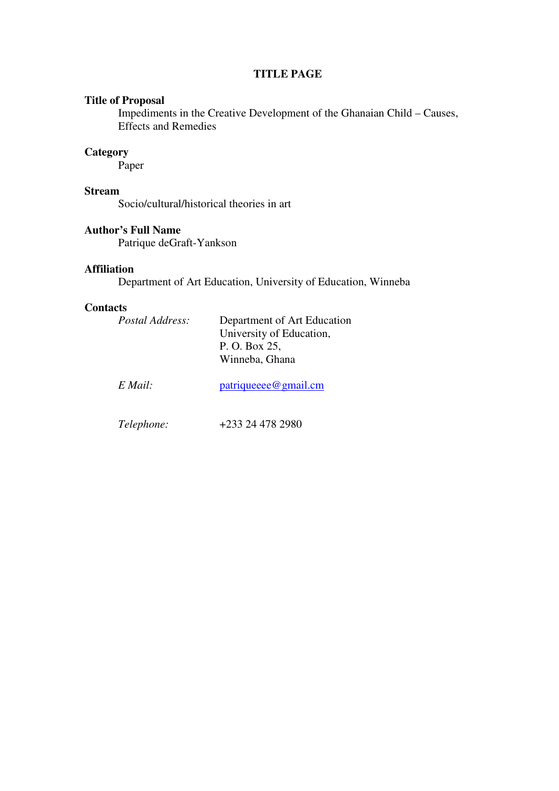### **TITLE PAGE**

## **Title of Proposal**

Impediments in the Creative Development of the Ghanaian Child – Causes, Effects and Remedies

# **Category**

Paper

## **Stream**

Socio/cultural/historical theories in art

### **Author's Full Name**

Patrique deGraft-Yankson

## **Affiliation**

Department of Art Education, University of Education, Winneba

### **Contacts**

| <i>Postal Address:</i> | Department of Art Education<br>University of Education,<br>P. O. Box 25,<br>Winneba, Ghana |
|------------------------|--------------------------------------------------------------------------------------------|
| $E$ Mail:              | patriqueeee@gmail.cm                                                                       |
| <i>Telephone:</i>      | +233 24 478 2980                                                                           |